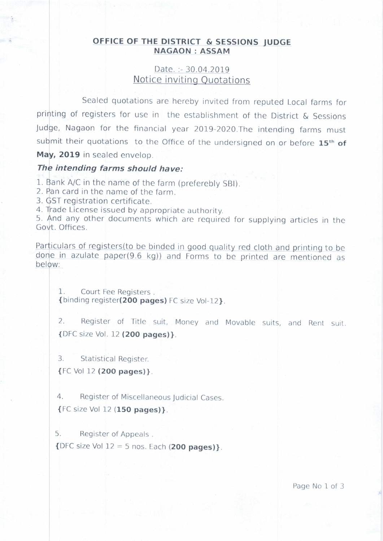## OFFICE OF THE DISTRICT & SESSIONS JUDGE **NAGAON: ASSAM**

Date.:  $-30.04.2019$ Notice inviting Quotations

Sealed quotations are hereby invited from reputed Local farms for printing of registers for use in the establishment of the District & Sessions Judge, Nagaon for the financial year 2019-2020. The intending farms must submit their quotations to the Office of the undersigned on or before 15<sup>th</sup> of May, 2019 in sealed envelop.

## The intending farms should have:

1. Bank A/C in the name of the farm (preferebly SBI).

- 2. Pan card in the name of the farm.
- 3. GST registration certificate

4. Trade License issued by appropriate authority.

5. And any other documents which are required for supplying articles in the Govt. Offices

Particulars of registers(to be binded in good quality red cloth and printing to be done in azulate paper(9.6 kg)) and Forms to be printed are mentioned as below:

 $1$ . Court Fee Registers. {binding register(200 pages) FC size Vol-12}.

 $2.$ Register of Title suit, Money and Movable suits, and Rent suit. {DFC size Vol. 12 (200 pages)}.

 $\overline{3}$ . Statistical Register.

{FC Vol 12 (200 pages)}.

 $4.$ Register of Miscellaneous Judicial Cases. {FC size Vol 12 (150 pages)}.

5. Register of Appeals.

 $\{$  DFC size Vol 12 = 5 nos. Each (200 pages) $\}$ .

Page No 1 of 3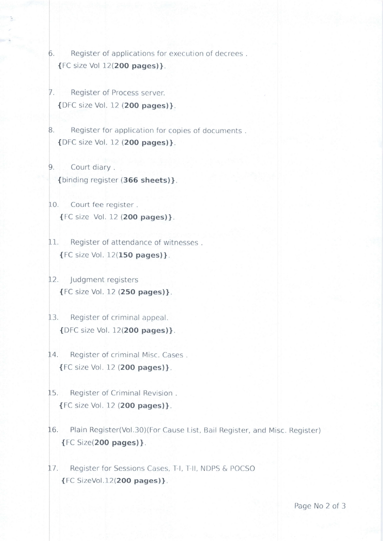- 6. Register of applications for execution of decrees. {l--C size Vol 12(2OO pages)}.
- . Register of Process server. {Di'C size Vol. 12 (2OO pages)}.
- 8. Register for application for copies of documents. {DFC size Vol. 12 (2OO pages)}.
- . Court diary . {binding register (366 sheets)}.
- 10. Court fee register. {['C size Vol. 12 (2OO pages)]
- 11. Register of attendance of witnesses. { FC size Vol. I 2(15O pages) }.
- 12. Judgment registers  ${FC size Vol. 12 (250 pages)}.$
- 13. Register of criminal appeal. {DFC size Vol. 12(200 pages)}.
- 14. Register of criminal Misc. Cases. {FC size Vol 12 (2OO pages)}
- 5. Register of Criminal Revision . {FC size Vol. 12 (2OO pages)}.
- 16. Plain Register(Vol.30)(For Cause List, Bail Register, and Misc. Register) {FC Size(2OO pages)}.
- 17. Register for Sessions Cases, T-I, T-II, NDPS & POCSO t FC SizeVol.l 2(2OO pages)).